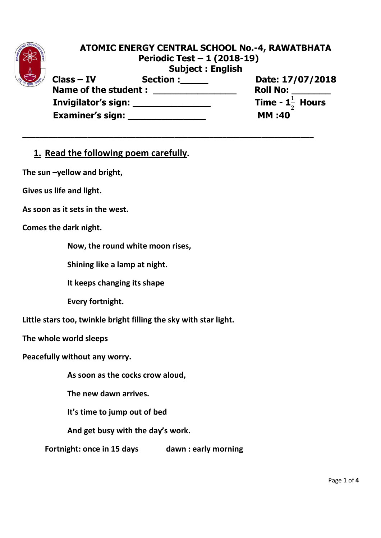

## ATOMIC ENERGY CENTRAL SCHOOL No.-4, RAWATBHATA Periodic Test – 1 (2018-19) Subject : English<br>Section :\_\_\_\_\_\_\_ Class – IV Section :\_\_\_\_\_ Date: 17/07/2018

Name of the student : The Roll No: Invigilator's sign: \_\_\_\_\_\_\_\_\_\_\_\_\_\_ Time - 1

\_\_\_\_\_\_\_\_\_\_\_\_\_\_\_\_\_\_\_\_\_\_\_\_\_\_\_\_\_\_\_\_\_\_\_\_\_\_\_\_\_\_\_\_\_\_\_\_\_\_\_\_\_\_\_\_\_\_\_\_\_\_\_\_\_\_\_

Examiner's sign: \_\_\_\_\_\_\_\_\_\_\_\_\_\_ MM :40

 $\frac{1}{2}$  Hours

## 1. Read the following poem carefully.

The sun –yellow and bright,

Gives us life and light.

As soon as it sets in the west.

Comes the dark night.

Now, the round white moon rises,

Shining like a lamp at night.

It keeps changing its shape

Every fortnight.

Little stars too, twinkle bright filling the sky with star light.

The whole world sleeps

Peacefully without any worry.

As soon as the cocks crow aloud,

The new dawn arrives.

It's time to jump out of bed

And get busy with the day's work.

Fortnight: once in 15 days dawn : early morning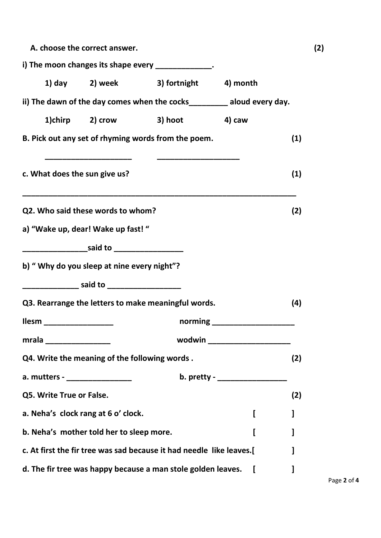|                          | A. choose the correct answer.                       |                                                                        |                              |     | (2) |
|--------------------------|-----------------------------------------------------|------------------------------------------------------------------------|------------------------------|-----|-----|
|                          | i) The moon changes its shape every _____________.  |                                                                        |                              |     |     |
|                          |                                                     | 1) day 2) week 3) fortnight 4) month                                   |                              |     |     |
|                          |                                                     | ii) The dawn of the day comes when the cocks_________ aloud every day. |                              |     |     |
|                          |                                                     | 1)chirp 2) crow 3) hoot 4) caw                                         |                              |     |     |
|                          | B. Pick out any set of rhyming words from the poem. |                                                                        |                              | (1) |     |
|                          | ________________<br>c. What does the sun give us?   |                                                                        |                              | (1) |     |
|                          | Q2. Who said these words to whom?                   |                                                                        |                              | (2) |     |
|                          | a) "Wake up, dear! Wake up fast!"                   |                                                                        |                              |     |     |
|                          | __________________said to ____________________      |                                                                        |                              |     |     |
|                          | b) "Why do you sleep at nine every night"?          |                                                                        |                              |     |     |
|                          | _______________ said to _____________________       |                                                                        |                              |     |     |
|                          | Q3. Rearrange the letters to make meaningful words. |                                                                        |                              | (4) |     |
| llesm _________________  |                                                     |                                                                        |                              |     |     |
| mrala ________________   |                                                     |                                                                        | wodwin _____________________ |     |     |
|                          | Q4. Write the meaning of the following words.       |                                                                        |                              | (2) |     |
|                          | a. mutters - ________________                       |                                                                        | b. pretty - $\frac{1}{2}$    |     |     |
| Q5. Write True or False. |                                                     |                                                                        |                              | (2) |     |
|                          | a. Neha's clock rang at 6 o' clock.                 |                                                                        |                              |     |     |
|                          | b. Neha's mother told her to sleep more.            |                                                                        |                              |     |     |
|                          |                                                     | c. At first the fir tree was sad because it had needle like leaves.[   |                              |     |     |
|                          |                                                     | d. The fir tree was happy because a man stole golden leaves.           |                              |     |     |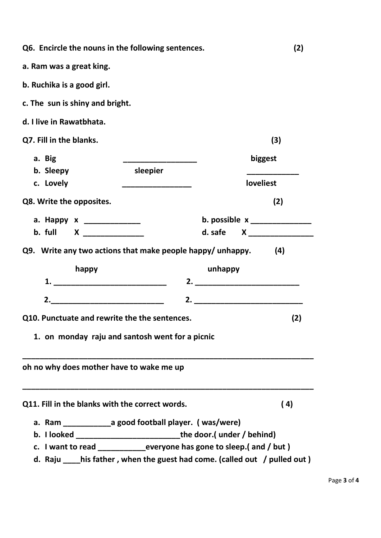| Q6. Encircle the nouns in the following sentences.                         | (2)                             |
|----------------------------------------------------------------------------|---------------------------------|
| a. Ram was a great king.                                                   |                                 |
| b. Ruchika is a good girl.                                                 |                                 |
| c. The sun is shiny and bright.                                            |                                 |
| d. I live in Rawatbhata.                                                   |                                 |
| Q7. Fill in the blanks.                                                    | (3)                             |
| a. Big                                                                     | biggest                         |
| sleepier<br>b. Sleepy<br>c. Lovely                                         | loveliest                       |
| Q8. Write the opposites.                                                   | (2)                             |
| a. Happy x _____________<br>b. full $X$ _____________                      | b. possible $x$ _______________ |
| Q9. Write any two actions that make people happy/ unhappy.                 | (4)                             |
| happy                                                                      | unhappy                         |
|                                                                            |                                 |
| Q10. Punctuate and rewrite the the sentences.                              | (2)                             |
| 1. on monday raju and santosh went for a picnic                            |                                 |
| oh no why does mother have to wake me up                                   |                                 |
| Q11. Fill in the blanks with the correct words.                            | (4)                             |
| a. Ram ________________ a good football player. (was/were)                 |                                 |
| b. I looked __________________________________the door.( under / behind)   |                                 |
| c. I want to read __________everyone has gone to sleep.(and / but)         |                                 |
| d. Raju ____his father, when the guest had come. (called out / pulled out) |                                 |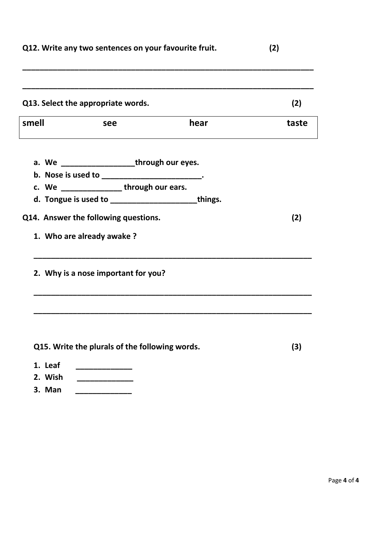|                                      | Q12. Write any two sentences on your favourite fruit. |      | (2)   |  |
|--------------------------------------|-------------------------------------------------------|------|-------|--|
|                                      |                                                       |      |       |  |
|                                      | Q13. Select the appropriate words.                    |      | (2)   |  |
| smell                                | see                                                   | hear | taste |  |
|                                      | a. We __________________through our eyes.             |      |       |  |
|                                      | b. Nose is used to ________________________.          |      |       |  |
|                                      | c. We _______________through our ears.                |      |       |  |
|                                      | d. Tongue is used to ____________________things.      |      |       |  |
| Q14. Answer the following questions. |                                                       |      | (2)   |  |
|                                      | 1. Who are already awake?                             |      |       |  |
|                                      | 2. Why is a nose important for you?                   |      |       |  |
|                                      |                                                       |      |       |  |
|                                      | Q15. Write the plurals of the following words.        |      | (3)   |  |
| 1. Leaf                              |                                                       |      |       |  |
| 2. Wish                              |                                                       |      |       |  |

3. Man **but a structure** and the structure of the structure of the structure of the structure of the structure of the structure of the structure of the structure of the structure of the structure of the structure of the st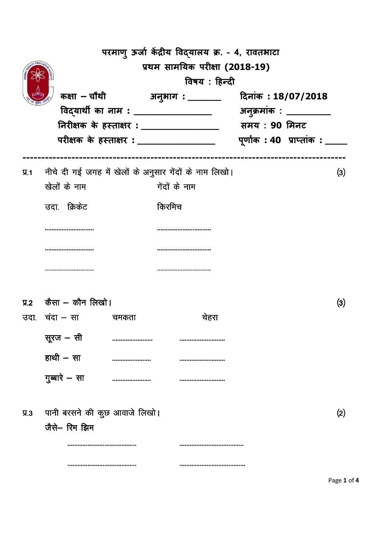|           |                                                |                                | परमाणु ऊर्जा केंद्रीय विद्यालय क्र. - 4, रावतभाटा      |                                  |     |  |  |  |
|-----------|------------------------------------------------|--------------------------------|--------------------------------------------------------|----------------------------------|-----|--|--|--|
|           |                                                | प्रथम सामयिक परीक्षा (2018-19) |                                                        |                                  |     |  |  |  |
|           |                                                |                                | विषय : हिन्दी                                          |                                  |     |  |  |  |
|           | कक्षा $-$ चौथी                                 |                                | अन् <b>भाग : ______</b> _                              | दिनांक: 18/07/2018               |     |  |  |  |
|           |                                                |                                | विदयार्थी का नाम : _________________                   | अनुक्रमांक : ________            |     |  |  |  |
|           |                                                |                                | निरीक्षक के हस्ताक्षर: ________________                | समय : 90 मिनट                    |     |  |  |  |
|           |                                                |                                | परीक्षक के हस्ताक्षर : _________________               | पूर्णांक : 40  प्राप्तांक : ____ |     |  |  |  |
|           |                                                |                                |                                                        |                                  |     |  |  |  |
| $\Psi$ .1 |                                                |                                | नीचे दी गई जगह में खेलों के अनुसार गेंदों के नाम लिखो। |                                  | (3) |  |  |  |
|           | खेलों के नाम                                   |                                | गेंदों के नाम                                          |                                  |     |  |  |  |
|           | उदा. क्रिकेट                                   |                                | किरमिच                                                 |                                  |     |  |  |  |
|           |                                                |                                |                                                        |                                  |     |  |  |  |
|           |                                                |                                |                                                        |                                  |     |  |  |  |
|           |                                                |                                |                                                        |                                  |     |  |  |  |
|           |                                                |                                |                                                        |                                  |     |  |  |  |
|           |                                                |                                |                                                        |                                  |     |  |  |  |
|           | प्र.2 कैसा – कौन लिखो।                         |                                |                                                        |                                  | (3) |  |  |  |
|           | उदा. चंदा – सा                                 | चमकता                          | चेहरा                                                  |                                  |     |  |  |  |
|           | सूरज – सी                                      |                                |                                                        |                                  |     |  |  |  |
|           | हाथी $-$ सा                                    |                                |                                                        |                                  |     |  |  |  |
|           | गुब्बारे - सा                                  |                                |                                                        |                                  |     |  |  |  |
|           |                                                |                                |                                                        |                                  |     |  |  |  |
|           |                                                |                                |                                                        |                                  |     |  |  |  |
| $\Pi.3$   | पानी बरसने की कुछ आवाजे लिखो।<br>जैसे– रिम झिम |                                |                                                        |                                  | (2) |  |  |  |
|           |                                                |                                |                                                        |                                  |     |  |  |  |
|           |                                                |                                |                                                        |                                  |     |  |  |  |
|           |                                                |                                |                                                        |                                  |     |  |  |  |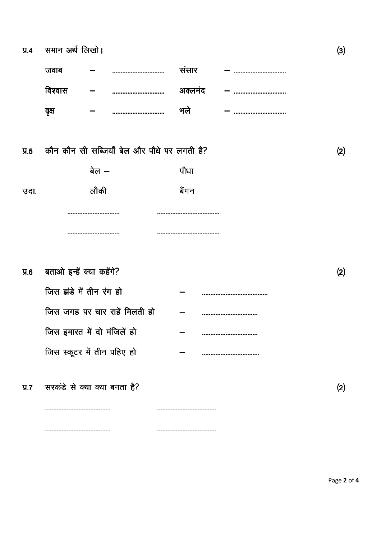....................................

| जवाब    |  | ससार   |  |
|---------|--|--------|--|
| विश्वास |  | अक्लमद |  |
|         |  | भल     |  |

|      | प्र.5 कौन कौन सी सब्जियाँ बेल और पौधे पर लगती है? |       | (2) |
|------|---------------------------------------------------|-------|-----|
|      | बेल $-$                                           | पौधा  |     |
| उदा. | लौकी                                              | बैंगन |     |
|      |                                                   |       |     |
|      |                                                   |       |     |

| $\Psi$ <sub>6</sub> | बताओ इन्हें क्या कहेंगे?           |  |
|---------------------|------------------------------------|--|
|                     | जिस झंडे में तीन रंग हो            |  |
|                     | जिस जगह पर चार राहें मिलती हो      |  |
|                     | जिस इमारत में दो मंजिलें हो        |  |
|                     | जिस स्कूटर में तीन पहिए हो         |  |
|                     | प्र.7 सरकंडे से क्या क्या बनता है? |  |
|                     |                                    |  |

................................

 $(2)$ 

 $(2)$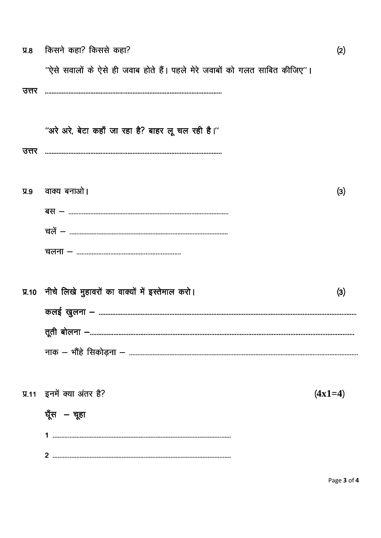| $\Psi$ .8 | किसने कहा? किससे कहा?                                                        | (2)       |  |
|-----------|------------------------------------------------------------------------------|-----------|--|
|           | ''ऐसे सवालों के ऐसे ही जवाब होते हैं। पहले मेरे जवाबों को गलत साबित कीजिए''। |           |  |
| उत्तर     |                                                                              |           |  |
|           |                                                                              |           |  |
|           | "अरे अरे, बेटा कहाँ जा रहा है? बाहर लू चल रही है।"                           |           |  |
| उत्तर     |                                                                              |           |  |
|           |                                                                              |           |  |
| $\Psi$ .9 | वाक्य बनाओ।                                                                  | (3)       |  |
|           |                                                                              |           |  |
|           |                                                                              |           |  |
|           |                                                                              |           |  |
|           |                                                                              |           |  |
|           | प्र.10 नीचे लिखे मुहावरों का वाक्यों में इस्तेमाल करो।                       | (3)       |  |
|           |                                                                              |           |  |
|           |                                                                              |           |  |
|           |                                                                              |           |  |
|           |                                                                              |           |  |
|           | प्र.11 इनमें क्या अंतर है?                                                   | $(4x1=4)$ |  |
|           | घूँस – चूहा                                                                  |           |  |
|           |                                                                              |           |  |
|           |                                                                              |           |  |
|           |                                                                              |           |  |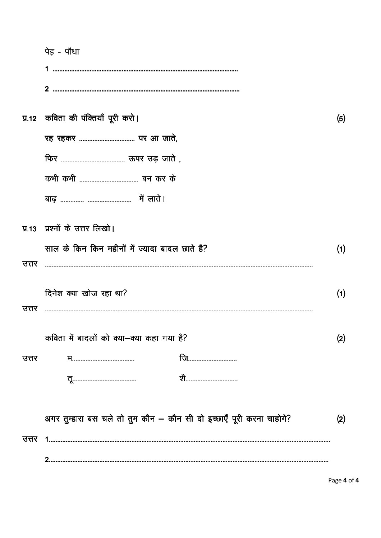|       | पेड़ - पौधा                                                          |     |
|-------|----------------------------------------------------------------------|-----|
|       |                                                                      |     |
|       |                                                                      |     |
|       | प्र.12 कविता की पंक्तियाँ पूरी करो।                                  | (5) |
|       |                                                                      |     |
|       |                                                                      |     |
|       |                                                                      |     |
|       |                                                                      |     |
|       | प्र.13 प्रश्नों के उत्तर लिखो।                                       |     |
|       | साल के किन किन महीनों में ज्यादा बादल छाते है?                       | (1) |
| उत्तर |                                                                      |     |
|       | दिनेश क्या खोज रहा था?                                               | (1) |
| उत्तर |                                                                      |     |
|       | कविता में बादलों को क्या-क्या कहा गया है?                            | (2) |
| उत्तर | जि                                                                   |     |
|       | <u>शै…………………………</u>                                                  |     |
|       | अगर तुम्हारा बस चले तो तुम कौन - कौन सी दो इच्छाएँ पूरी करना चाहोगे? | (2) |
| उत्तर |                                                                      |     |
|       |                                                                      |     |

Page 4 of 4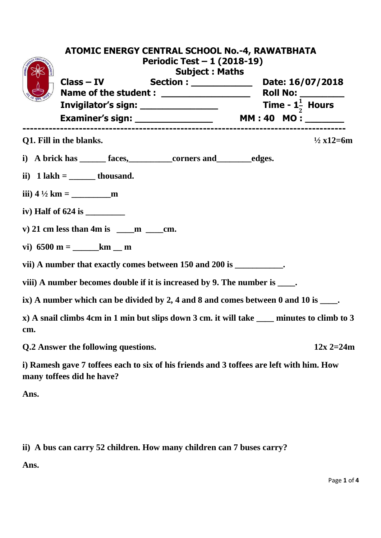|     |                                                     | <b>ATOMIC ENERGY CENTRAL SCHOOL No.-4, RAWATBHATA</b><br>Periodic Test - 1 (2018-19)<br><b>Subject: Maths</b> |  |                             |  |  |
|-----|-----------------------------------------------------|---------------------------------------------------------------------------------------------------------------|--|-----------------------------|--|--|
|     |                                                     | Class - IV Section : ________________ Date: 16/07/2018                                                        |  |                             |  |  |
|     |                                                     | Name of the student : ____________________                                                                    |  | <b>Roll No: _________</b>   |  |  |
|     |                                                     | Invigilator's sign: ____________________                                                                      |  | Time - $1\frac{1}{2}$ Hours |  |  |
|     |                                                     |                                                                                                               |  |                             |  |  |
|     | Q1. Fill in the blanks.                             |                                                                                                               |  | $\frac{1}{2}$ x12=6m        |  |  |
|     |                                                     | i) A brick has _______ faces, _____________ corners and __________ edges.                                     |  |                             |  |  |
|     | ii) $1 \text{ lakh} = \underline{\qquad}$ thousand. |                                                                                                               |  |                             |  |  |
|     |                                                     |                                                                                                               |  |                             |  |  |
|     |                                                     |                                                                                                               |  |                             |  |  |
|     | v) 21 cm less than 4m is $\_\_\_m \_\_\_cm \_\_\cm$ |                                                                                                               |  |                             |  |  |
|     |                                                     |                                                                                                               |  |                             |  |  |
|     |                                                     | vii) A number that exactly comes between 150 and 200 is ____________.                                         |  |                             |  |  |
|     |                                                     | viii) A number becomes double if it is increased by 9. The number is ____.                                    |  |                             |  |  |
|     |                                                     | ix) A number which can be divided by 2, 4 and 8 and comes between 0 and 10 is $\frac{ }{ }$ .                 |  |                             |  |  |
| cm. |                                                     | x) A snail climbs 4cm in 1 min but slips down 3 cm. it will take ____ minutes to climb to 3                   |  |                             |  |  |
|     | Q.2 Answer the following questions.                 |                                                                                                               |  | $12x 2=24m$                 |  |  |
|     | many toffees did he have?                           | i) Ramesh gave 7 toffees each to six of his friends and 3 toffees are left with him. How                      |  |                             |  |  |

**Ans.** 

**ii) A bus can carry 52 children. How many children can 7 buses carry?** 

**Ans.**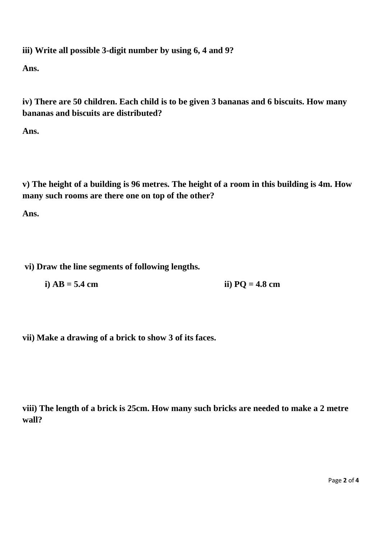## **iii) Write all possible 3-digit number by using 6, 4 and 9?**

**Ans.** 

**iv) There are 50 children. Each child is to be given 3 bananas and 6 biscuits. How many bananas and biscuits are distributed?** 

**Ans.** 

**v) The height of a building is 96 metres. The height of a room in this building is 4m. How many such rooms are there one on top of the other?** 

**Ans.** 

 **vi) Draw the line segments of following lengths.** 

**i**)  $AB = 5.4$  cm **ii**)  $PQ = 4.8$  cm

**vii) Make a drawing of a brick to show 3 of its faces.** 

**viii) The length of a brick is 25cm. How many such bricks are needed to make a 2 metre wall?**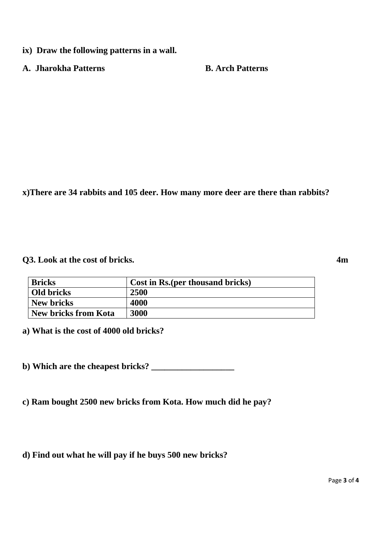- **ix) Draw the following patterns in a wall.**
- **A. Jharokha Patterns**  B. Arch Patterns

**x)There are 34 rabbits and 105 deer. How many more deer are there than rabbits?** 

**Q3.** Look at the cost of bricks. 4m

**Bricks Cost in Rs.(per thousand bricks) Old bricks 2500 New bricks** 14000 **New bricks from Kota 3000** 

**a) What is the cost of 4000 old bricks?** 

**b**) Which are the cheapest bricks?

**c) Ram bought 2500 new bricks from Kota. How much did he pay?** 

**d) Find out what he will pay if he buys 500 new bricks?**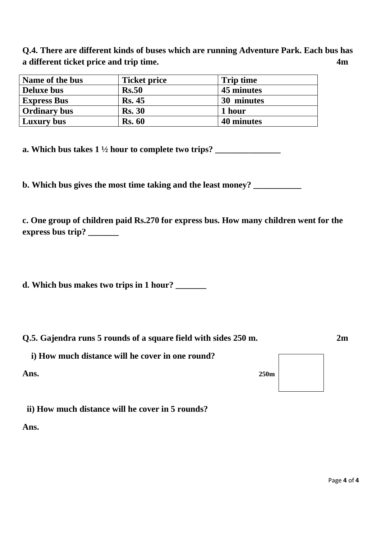**Q.4. There are different kinds of buses which are running Adventure Park. Each bus has a different ticket price and trip time. 4m** 

| Name of the bus     | <b>Ticket price</b> | <b>Trip time</b> |
|---------------------|---------------------|------------------|
| <b>Deluxe bus</b>   | Rs.50               | 45 minutes       |
| <b>Express Bus</b>  | <b>Rs. 45</b>       | 30 minutes       |
| <b>Ordinary bus</b> | <b>Rs. 30</b>       | 1 hour           |
| Luxury bus          | <b>Rs. 60</b>       | 40 minutes       |

**a. Which bus takes 1 ½ hour to complete two trips?** 

**b. Which bus gives the most time taking and the least money?** \_\_\_\_\_\_\_\_\_\_\_\_\_\_\_\_\_\_\_

**c. One group of children paid Rs.270 for express bus. How many children went for the express bus trip? \_\_\_\_\_\_\_** 

**d. Which bus makes two trips in 1 hour? \_\_\_\_\_\_\_** 

|  | Q.5. Gajendra runs 5 rounds of a square field with sides 250 m. |  |  | 2m |
|--|-----------------------------------------------------------------|--|--|----|
|  |                                                                 |  |  |    |

 **i) How much distance will he cover in one round?** 

**Ans. 250m** 

 **ii) How much distance will he cover in 5 rounds?** 

**Ans.**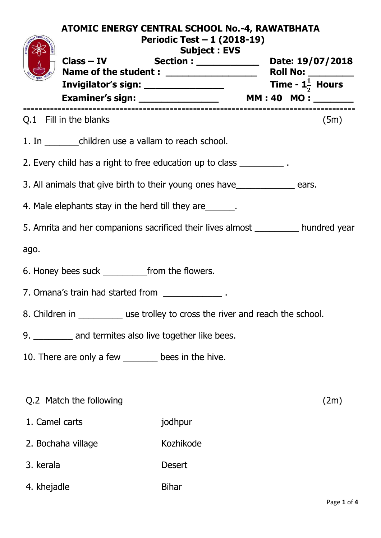|                | <b>ATOMIC ENERGY CENTRAL SCHOOL No.-4, RAWATBHATA</b><br>Periodic Test - 1 (2018-19) |                     |                             |                          |  |  |  |  |  |
|----------------|--------------------------------------------------------------------------------------|---------------------|-----------------------------|--------------------------|--|--|--|--|--|
|                | Class - IV Section : _______________ Date: 19/07/2018                                | <b>Subject: EVS</b> |                             | <b>Roll No:</b> ________ |  |  |  |  |  |
|                |                                                                                      |                     | Time - $1\frac{1}{2}$ Hours |                          |  |  |  |  |  |
|                | Q.1 Fill in the blanks                                                               |                     |                             | (5m)                     |  |  |  |  |  |
|                | 1. In _____________children use a vallam to reach school.                            |                     |                             |                          |  |  |  |  |  |
|                | 2. Every child has a right to free education up to class ____________.               |                     |                             |                          |  |  |  |  |  |
|                | 3. All animals that give birth to their young ones have example ears.                |                     |                             |                          |  |  |  |  |  |
|                | 4. Male elephants stay in the herd till they are 1.1.1.1.                            |                     |                             |                          |  |  |  |  |  |
|                | 5. Amrita and her companions sacrificed their lives almost _________ hundred year    |                     |                             |                          |  |  |  |  |  |
| ago.           |                                                                                      |                     |                             |                          |  |  |  |  |  |
|                |                                                                                      |                     |                             |                          |  |  |  |  |  |
|                | 7. Omana's train had started from _______________.                                   |                     |                             |                          |  |  |  |  |  |
|                | 8. Children in ___________ use trolley to cross the river and reach the school.      |                     |                             |                          |  |  |  |  |  |
|                | 9. _________ and termites also live together like bees.                              |                     |                             |                          |  |  |  |  |  |
|                | 10. There are only a few _______ bees in the hive.                                   |                     |                             |                          |  |  |  |  |  |
|                |                                                                                      |                     |                             |                          |  |  |  |  |  |
|                | Q.2 Match the following                                                              |                     |                             | (2m)                     |  |  |  |  |  |
| 1. Camel carts |                                                                                      | jodhpur             |                             |                          |  |  |  |  |  |
|                | 2. Bochaha village                                                                   | Kozhikode           |                             |                          |  |  |  |  |  |
| 3. kerala      |                                                                                      | <b>Desert</b>       |                             |                          |  |  |  |  |  |
| 4. khejadle    |                                                                                      | <b>Bihar</b>        |                             |                          |  |  |  |  |  |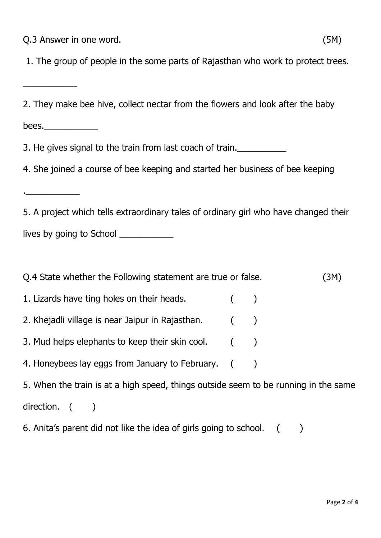Q.3 Answer in one word. (5M)

 $\overline{\phantom{a}}$  , where  $\overline{\phantom{a}}$ 

1. The group of people in the some parts of Rajasthan who work to protect trees.

2. They make bee hive, collect nectar from the flowers and look after the baby bees. 3. He gives signal to the train from last coach of train. 4. She joined a course of bee keeping and started her business of bee keeping .\_\_\_\_\_\_\_\_\_\_\_ 5. A project which tells extraordinary tales of ordinary girl who have changed their lives by going to School Q.4 State whether the Following statement are true or false. (3M) 1. Lizards have ting holes on their heads. () 2. Khejadli village is near Jaipur in Rajasthan. () 3. Mud helps elephants to keep their skin cool. () 4. Honeybees lay eggs from January to February. () 5. When the train is at a high speed, things outside seem to be running in the same

direction. ()

6. Anita's parent did not like the idea of girls going to school. ()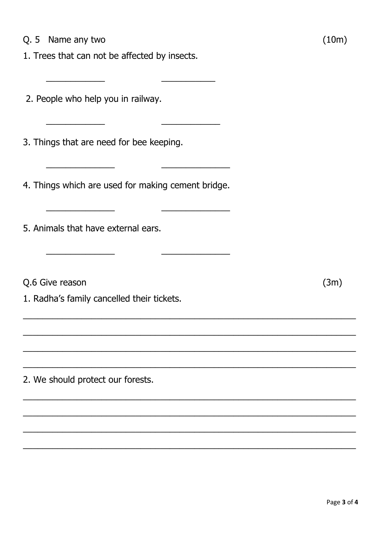## Q. 5 Name any two

1. Trees that can not be affected by insects.

2. People who help you in railway.

3. Things that are need for bee keeping.

4. Things which are used for making cement bridge.

5. Animals that have external ears.

Q.6 Give reason

1. Radha's family cancelled their tickets.

2. We should protect our forests.

 $(3m)$